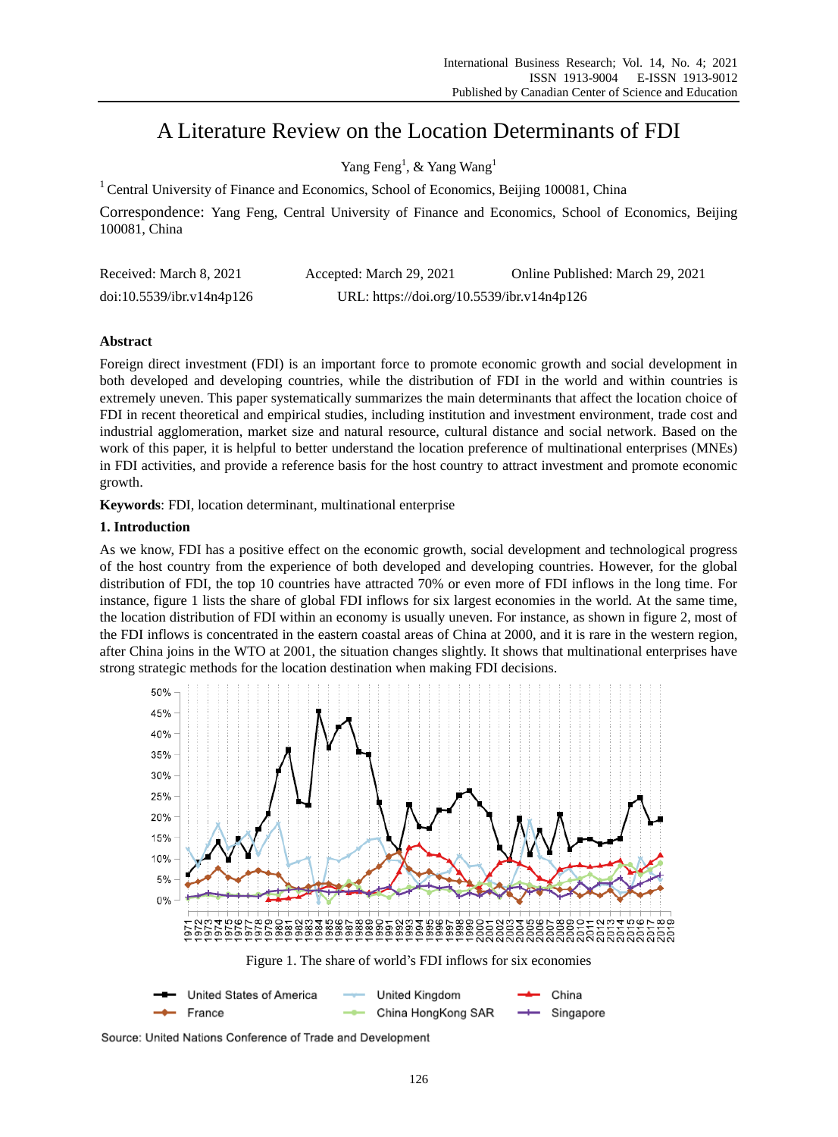# A Literature Review on the Location Determinants of FDI

Yang Feng<sup>1</sup>, & Yang Wang<sup>1</sup>

<sup>1</sup> Central University of Finance and Economics, School of Economics, Beijing 100081, China

Correspondence: Yang Feng, Central University of Finance and Economics, School of Economics, Beijing 100081, China

| Received: March 8, 2021   | Accepted: March 29, 2021                   | Online Published: March 29, 2021 |
|---------------------------|--------------------------------------------|----------------------------------|
| doi:10.5539/ibr.v14n4p126 | URL: https://doi.org/10.5539/ibr.v14n4p126 |                                  |

# **Abstract**

Foreign direct investment (FDI) is an important force to promote economic growth and social development in both developed and developing countries, while the distribution of FDI in the world and within countries is extremely uneven. This paper systematically summarizes the main determinants that affect the location choice of FDI in recent theoretical and empirical studies, including institution and investment environment, trade cost and industrial agglomeration, market size and natural resource, cultural distance and social network. Based on the work of this paper, it is helpful to better understand the location preference of multinational enterprises (MNEs) in FDI activities, and provide a reference basis for the host country to attract investment and promote economic growth.

**Keywords**: FDI, location determinant, multinational enterprise

# **1. Introduction**

As we know, FDI has a positive effect on the economic growth, social development and technological progress of the host country from the experience of both developed and developing countries. However, for the global distribution of FDI, the top 10 countries have attracted 70% or even more of FDI inflows in the long time. For instance, figure 1 lists the share of global FDI inflows for six largest economies in the world. At the same time, the location distribution of FDI within an economy is usually uneven. For instance, as shown in figure 2, most of the FDI inflows is concentrated in the eastern coastal areas of China at 2000, and it is rare in the western region, after China joins in the WTO at 2001, the situation changes slightly. It shows that multinational enterprises have strong strategic methods for the location destination when making FDI decisions.



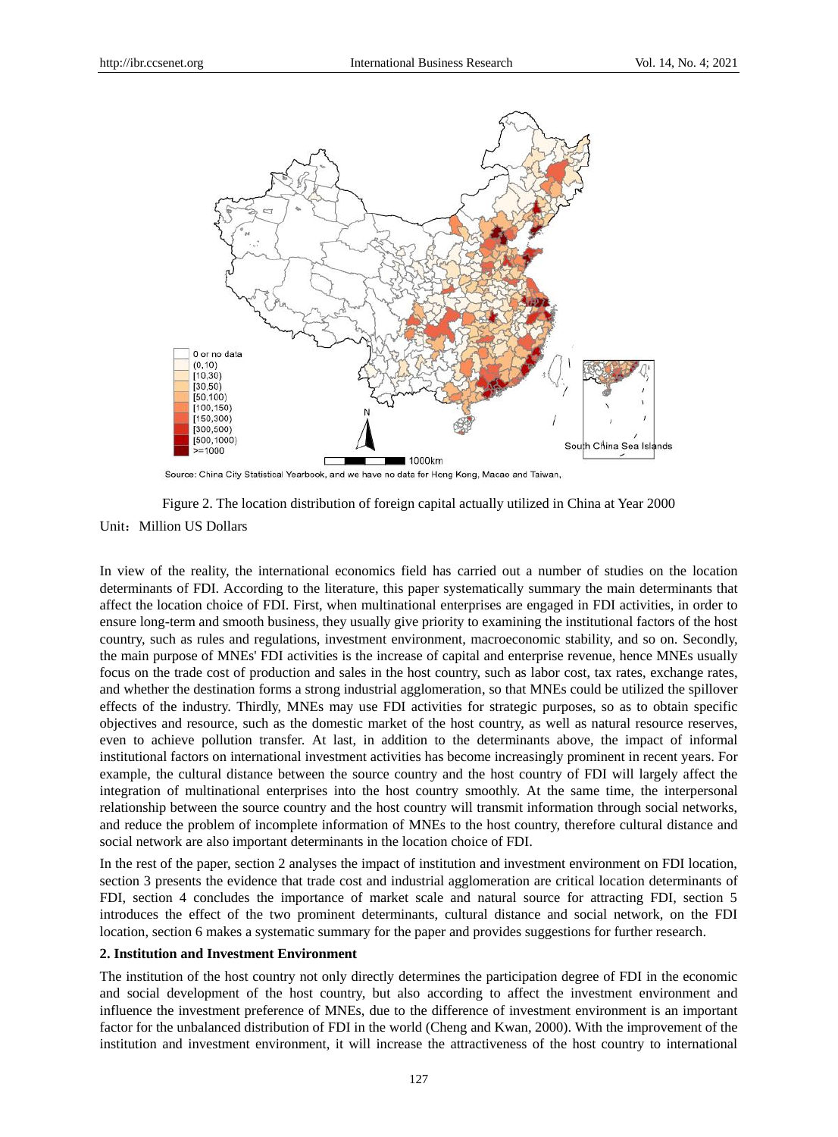

Source: China City Statistical Yearbook, and we have no data for Hong Kong, Macao and Taiwan,



In view of the reality, the international economics field has carried out a number of studies on the location determinants of FDI. According to the literature, this paper systematically summary the main determinants that affect the location choice of FDI. First, when multinational enterprises are engaged in FDI activities, in order to ensure long-term and smooth business, they usually give priority to examining the institutional factors of the host country, such as rules and regulations, investment environment, macroeconomic stability, and so on. Secondly, the main purpose of MNEs' FDI activities is the increase of capital and enterprise revenue, hence MNEs usually focus on the trade cost of production and sales in the host country, such as labor cost, tax rates, exchange rates, and whether the destination forms a strong industrial agglomeration, so that MNEs could be utilized the spillover effects of the industry. Thirdly, MNEs may use FDI activities for strategic purposes, so as to obtain specific objectives and resource, such as the domestic market of the host country, as well as natural resource reserves, even to achieve pollution transfer. At last, in addition to the determinants above, the impact of informal institutional factors on international investment activities has become increasingly prominent in recent years. For example, the cultural distance between the source country and the host country of FDI will largely affect the integration of multinational enterprises into the host country smoothly. At the same time, the interpersonal relationship between the source country and the host country will transmit information through social networks, and reduce the problem of incomplete information of MNEs to the host country, therefore cultural distance and social network are also important determinants in the location choice of FDI.

In the rest of the paper, section 2 analyses the impact of institution and investment environment on FDI location, section 3 presents the evidence that trade cost and industrial agglomeration are critical location determinants of FDI, section 4 concludes the importance of market scale and natural source for attracting FDI, section 5 introduces the effect of the two prominent determinants, cultural distance and social network, on the FDI location, section 6 makes a systematic summary for the paper and provides suggestions for further research.

## **2. Institution and Investment Environment**

The institution of the host country not only directly determines the participation degree of FDI in the economic and social development of the host country, but also according to affect the investment environment and influence the investment preference of MNEs, due to the difference of investment environment is an important factor for the unbalanced distribution of FDI in the world (Cheng and Kwan, 2000). With the improvement of the institution and investment environment, it will increase the attractiveness of the host country to international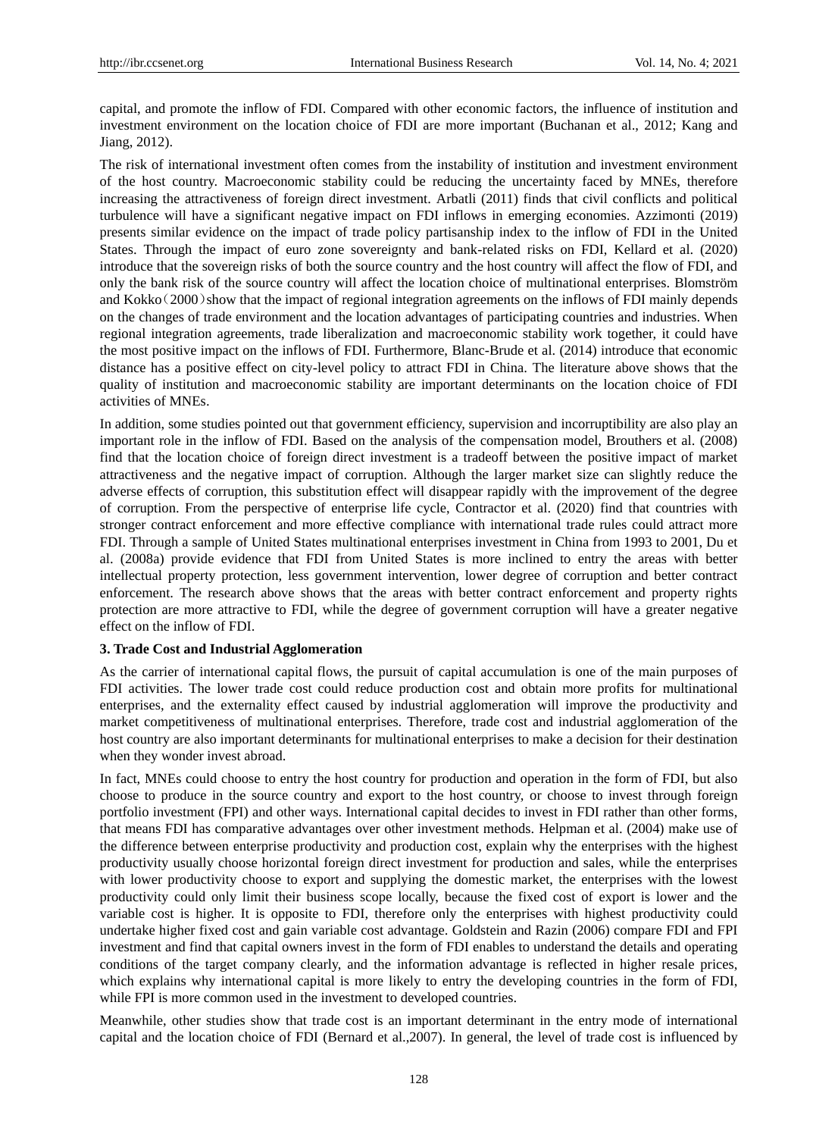capital, and promote the inflow of FDI. Compared with other economic factors, the influence of institution and investment environment on the location choice of FDI are more important (Buchanan et al., 2012; Kang and Jiang, 2012).

The risk of international investment often comes from the instability of institution and investment environment of the host country. Macroeconomic stability could be reducing the uncertainty faced by MNEs, therefore increasing the attractiveness of foreign direct investment. Arbatli (2011) finds that civil conflicts and political turbulence will have a significant negative impact on FDI inflows in emerging economies. Azzimonti (2019) presents similar evidence on the impact of trade policy partisanship index to the inflow of FDI in the United States. Through the impact of euro zone sovereignty and bank-related risks on FDI, Kellard et al. (2020) introduce that the sovereign risks of both the source country and the host country will affect the flow of FDI, and only the bank risk of the source country will affect the location choice of multinational enterprises. Blomström and Kokko(2000)show that the impact of regional integration agreements on the inflows of FDI mainly depends on the changes of trade environment and the location advantages of participating countries and industries. When regional integration agreements, trade liberalization and macroeconomic stability work together, it could have the most positive impact on the inflows of FDI. Furthermore, Blanc-Brude et al. (2014) introduce that economic distance has a positive effect on city-level policy to attract FDI in China. The literature above shows that the quality of institution and macroeconomic stability are important determinants on the location choice of FDI activities of MNEs.

In addition, some studies pointed out that government efficiency, supervision and incorruptibility are also play an important role in the inflow of FDI. Based on the analysis of the compensation model, Brouthers et al. (2008) find that the location choice of foreign direct investment is a tradeoff between the positive impact of market attractiveness and the negative impact of corruption. Although the larger market size can slightly reduce the adverse effects of corruption, this substitution effect will disappear rapidly with the improvement of the degree of corruption. From the perspective of enterprise life cycle, Contractor et al. (2020) find that countries with stronger contract enforcement and more effective compliance with international trade rules could attract more FDI. Through a sample of United States multinational enterprises investment in China from 1993 to 2001, Du et al. (2008a) provide evidence that FDI from United States is more inclined to entry the areas with better intellectual property protection, less government intervention, lower degree of corruption and better contract enforcement. The research above shows that the areas with better contract enforcement and property rights protection are more attractive to FDI, while the degree of government corruption will have a greater negative effect on the inflow of FDI.

## **3. Trade Cost and Industrial Agglomeration**

As the carrier of international capital flows, the pursuit of capital accumulation is one of the main purposes of FDI activities. The lower trade cost could reduce production cost and obtain more profits for multinational enterprises, and the externality effect caused by industrial agglomeration will improve the productivity and market competitiveness of multinational enterprises. Therefore, trade cost and industrial agglomeration of the host country are also important determinants for multinational enterprises to make a decision for their destination when they wonder invest abroad.

In fact, MNEs could choose to entry the host country for production and operation in the form of FDI, but also choose to produce in the source country and export to the host country, or choose to invest through foreign portfolio investment (FPI) and other ways. International capital decides to invest in FDI rather than other forms, that means FDI has comparative advantages over other investment methods. Helpman et al. (2004) make use of the difference between enterprise productivity and production cost, explain why the enterprises with the highest productivity usually choose horizontal foreign direct investment for production and sales, while the enterprises with lower productivity choose to export and supplying the domestic market, the enterprises with the lowest productivity could only limit their business scope locally, because the fixed cost of export is lower and the variable cost is higher. It is opposite to FDI, therefore only the enterprises with highest productivity could undertake higher fixed cost and gain variable cost advantage. Goldstein and Razin (2006) compare FDI and FPI investment and find that capital owners invest in the form of FDI enables to understand the details and operating conditions of the target company clearly, and the information advantage is reflected in higher resale prices, which explains why international capital is more likely to entry the developing countries in the form of FDI, while FPI is more common used in the investment to developed countries.

Meanwhile, other studies show that trade cost is an important determinant in the entry mode of international capital and the location choice of FDI (Bernard et al.,2007). In general, the level of trade cost is influenced by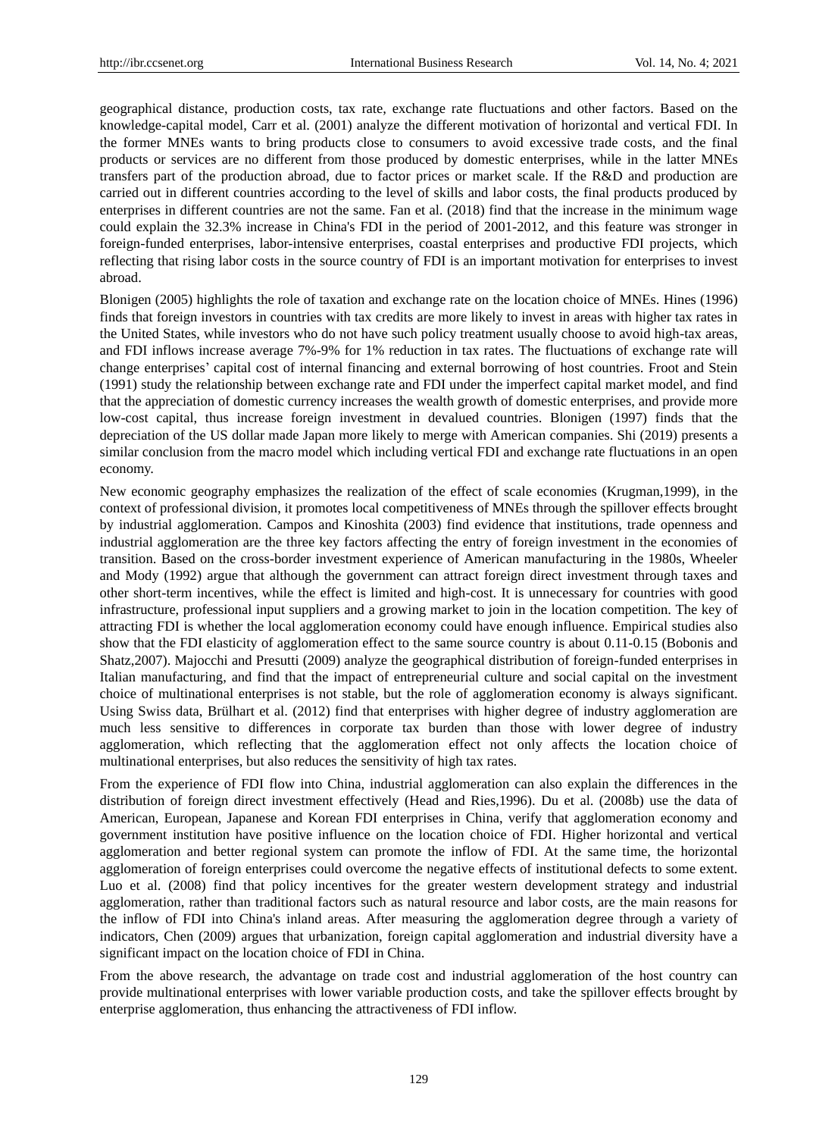geographical distance, production costs, tax rate, exchange rate fluctuations and other factors. Based on the knowledge-capital model, Carr et al. (2001) analyze the different motivation of horizontal and vertical FDI. In the former MNEs wants to bring products close to consumers to avoid excessive trade costs, and the final products or services are no different from those produced by domestic enterprises, while in the latter MNEs transfers part of the production abroad, due to factor prices or market scale. If the R&D and production are carried out in different countries according to the level of skills and labor costs, the final products produced by enterprises in different countries are not the same. Fan et al. (2018) find that the increase in the minimum wage could explain the 32.3% increase in China's FDI in the period of 2001-2012, and this feature was stronger in foreign-funded enterprises, labor-intensive enterprises, coastal enterprises and productive FDI projects, which reflecting that rising labor costs in the source country of FDI is an important motivation for enterprises to invest abroad.

Blonigen (2005) highlights the role of taxation and exchange rate on the location choice of MNEs. Hines (1996) finds that foreign investors in countries with tax credits are more likely to invest in areas with higher tax rates in the United States, while investors who do not have such policy treatment usually choose to avoid high-tax areas, and FDI inflows increase average 7%-9% for 1% reduction in tax rates. The fluctuations of exchange rate will change enterprises' capital cost of internal financing and external borrowing of host countries. Froot and Stein (1991) study the relationship between exchange rate and FDI under the imperfect capital market model, and find that the appreciation of domestic currency increases the wealth growth of domestic enterprises, and provide more low-cost capital, thus increase foreign investment in devalued countries. Blonigen (1997) finds that the depreciation of the US dollar made Japan more likely to merge with American companies. Shi (2019) presents a similar conclusion from the macro model which including vertical FDI and exchange rate fluctuations in an open economy.

New economic geography emphasizes the realization of the effect of scale economies (Krugman,1999), in the context of professional division, it promotes local competitiveness of MNEs through the spillover effects brought by industrial agglomeration. Campos and Kinoshita (2003) find evidence that institutions, trade openness and industrial agglomeration are the three key factors affecting the entry of foreign investment in the economies of transition. Based on the cross-border investment experience of American manufacturing in the 1980s, Wheeler and Mody (1992) argue that although the government can attract foreign direct investment through taxes and other short-term incentives, while the effect is limited and high-cost. It is unnecessary for countries with good infrastructure, professional input suppliers and a growing market to join in the location competition. The key of attracting FDI is whether the local agglomeration economy could have enough influence. Empirical studies also show that the FDI elasticity of agglomeration effect to the same source country is about 0.11-0.15 (Bobonis and Shatz,2007). Majocchi and Presutti (2009) analyze the geographical distribution of foreign-funded enterprises in Italian manufacturing, and find that the impact of entrepreneurial culture and social capital on the investment choice of multinational enterprises is not stable, but the role of agglomeration economy is always significant. Using Swiss data, Brülhart et al. (2012) find that enterprises with higher degree of industry agglomeration are much less sensitive to differences in corporate tax burden than those with lower degree of industry agglomeration, which reflecting that the agglomeration effect not only affects the location choice of multinational enterprises, but also reduces the sensitivity of high tax rates.

From the experience of FDI flow into China, industrial agglomeration can also explain the differences in the distribution of foreign direct investment effectively (Head and Ries,1996). Du et al. (2008b) use the data of American, European, Japanese and Korean FDI enterprises in China, verify that agglomeration economy and government institution have positive influence on the location choice of FDI. Higher horizontal and vertical agglomeration and better regional system can promote the inflow of FDI. At the same time, the horizontal agglomeration of foreign enterprises could overcome the negative effects of institutional defects to some extent. Luo et al. (2008) find that policy incentives for the greater western development strategy and industrial agglomeration, rather than traditional factors such as natural resource and labor costs, are the main reasons for the inflow of FDI into China's inland areas. After measuring the agglomeration degree through a variety of indicators, Chen (2009) argues that urbanization, foreign capital agglomeration and industrial diversity have a significant impact on the location choice of FDI in China.

From the above research, the advantage on trade cost and industrial agglomeration of the host country can provide multinational enterprises with lower variable production costs, and take the spillover effects brought by enterprise agglomeration, thus enhancing the attractiveness of FDI inflow.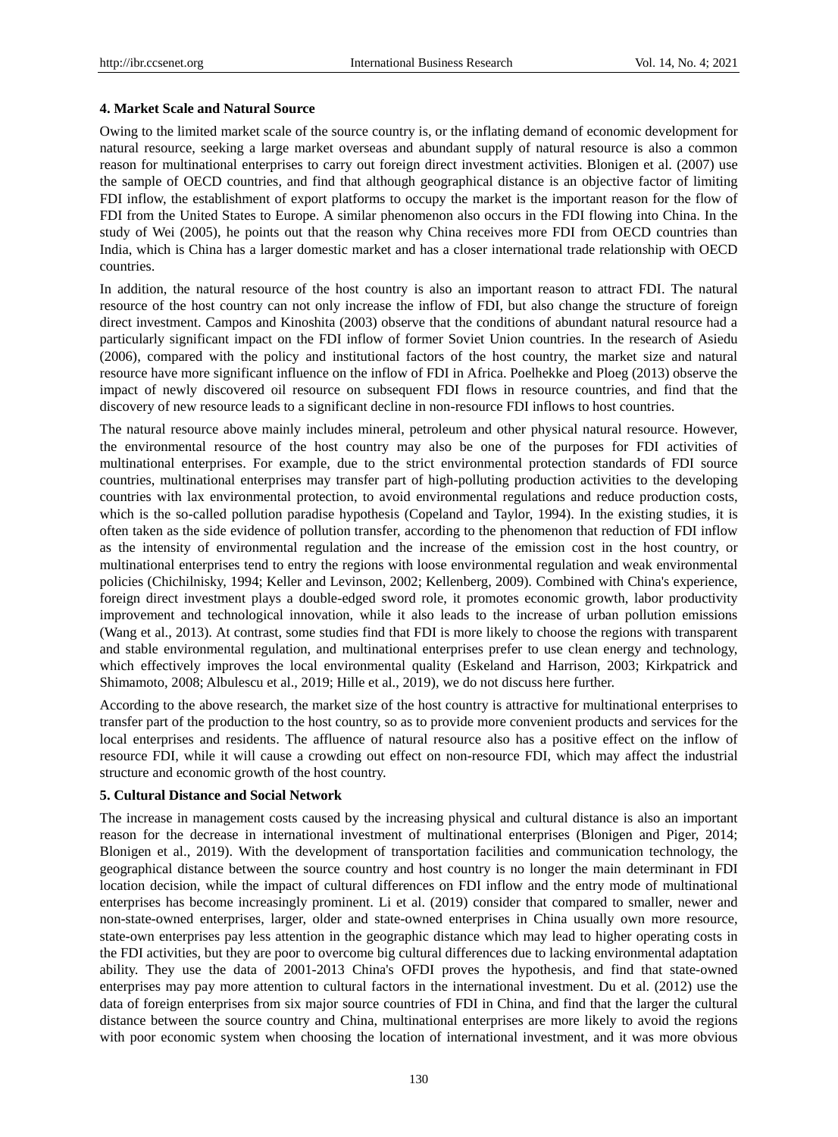# **4. Market Scale and Natural Source**

Owing to the limited market scale of the source country is, or the inflating demand of economic development for natural resource, seeking a large market overseas and abundant supply of natural resource is also a common reason for multinational enterprises to carry out foreign direct investment activities. Blonigen et al. (2007) use the sample of OECD countries, and find that although geographical distance is an objective factor of limiting FDI inflow, the establishment of export platforms to occupy the market is the important reason for the flow of FDI from the United States to Europe. A similar phenomenon also occurs in the FDI flowing into China. In the study of Wei (2005), he points out that the reason why China receives more FDI from OECD countries than India, which is China has a larger domestic market and has a closer international trade relationship with OECD countries.

In addition, the natural resource of the host country is also an important reason to attract FDI. The natural resource of the host country can not only increase the inflow of FDI, but also change the structure of foreign direct investment. Campos and Kinoshita (2003) observe that the conditions of abundant natural resource had a particularly significant impact on the FDI inflow of former Soviet Union countries. In the research of Asiedu (2006), compared with the policy and institutional factors of the host country, the market size and natural resource have more significant influence on the inflow of FDI in Africa. Poelhekke and Ploeg (2013) observe the impact of newly discovered oil resource on subsequent FDI flows in resource countries, and find that the discovery of new resource leads to a significant decline in non-resource FDI inflows to host countries.

The natural resource above mainly includes mineral, petroleum and other physical natural resource. However, the environmental resource of the host country may also be one of the purposes for FDI activities of multinational enterprises. For example, due to the strict environmental protection standards of FDI source countries, multinational enterprises may transfer part of high-polluting production activities to the developing countries with lax environmental protection, to avoid environmental regulations and reduce production costs, which is the so-called pollution paradise hypothesis (Copeland and Taylor, 1994). In the existing studies, it is often taken as the side evidence of pollution transfer, according to the phenomenon that reduction of FDI inflow as the intensity of environmental regulation and the increase of the emission cost in the host country, or multinational enterprises tend to entry the regions with loose environmental regulation and weak environmental policies (Chichilnisky, 1994; Keller and Levinson, 2002; Kellenberg, 2009). Combined with China's experience, foreign direct investment plays a double-edged sword role, it promotes economic growth, labor productivity improvement and technological innovation, while it also leads to the increase of urban pollution emissions (Wang et al., 2013). At contrast, some studies find that FDI is more likely to choose the regions with transparent and stable environmental regulation, and multinational enterprises prefer to use clean energy and technology, which effectively improves the local environmental quality (Eskeland and Harrison, 2003; Kirkpatrick and Shimamoto, 2008; Albulescu et al., 2019; Hille et al., 2019), we do not discuss here further.

According to the above research, the market size of the host country is attractive for multinational enterprises to transfer part of the production to the host country, so as to provide more convenient products and services for the local enterprises and residents. The affluence of natural resource also has a positive effect on the inflow of resource FDI, while it will cause a crowding out effect on non-resource FDI, which may affect the industrial structure and economic growth of the host country.

## **5. Cultural Distance and Social Network**

The increase in management costs caused by the increasing physical and cultural distance is also an important reason for the decrease in international investment of multinational enterprises (Blonigen and Piger, 2014; Blonigen et al., 2019). With the development of transportation facilities and communication technology, the geographical distance between the source country and host country is no longer the main determinant in FDI location decision, while the impact of cultural differences on FDI inflow and the entry mode of multinational enterprises has become increasingly prominent. Li et al. (2019) consider that compared to smaller, newer and non-state-owned enterprises, larger, older and state-owned enterprises in China usually own more resource, state-own enterprises pay less attention in the geographic distance which may lead to higher operating costs in the FDI activities, but they are poor to overcome big cultural differences due to lacking environmental adaptation ability. They use the data of 2001-2013 China's OFDI proves the hypothesis, and find that state-owned enterprises may pay more attention to cultural factors in the international investment. Du et al. (2012) use the data of foreign enterprises from six major source countries of FDI in China, and find that the larger the cultural distance between the source country and China, multinational enterprises are more likely to avoid the regions with poor economic system when choosing the location of international investment, and it was more obvious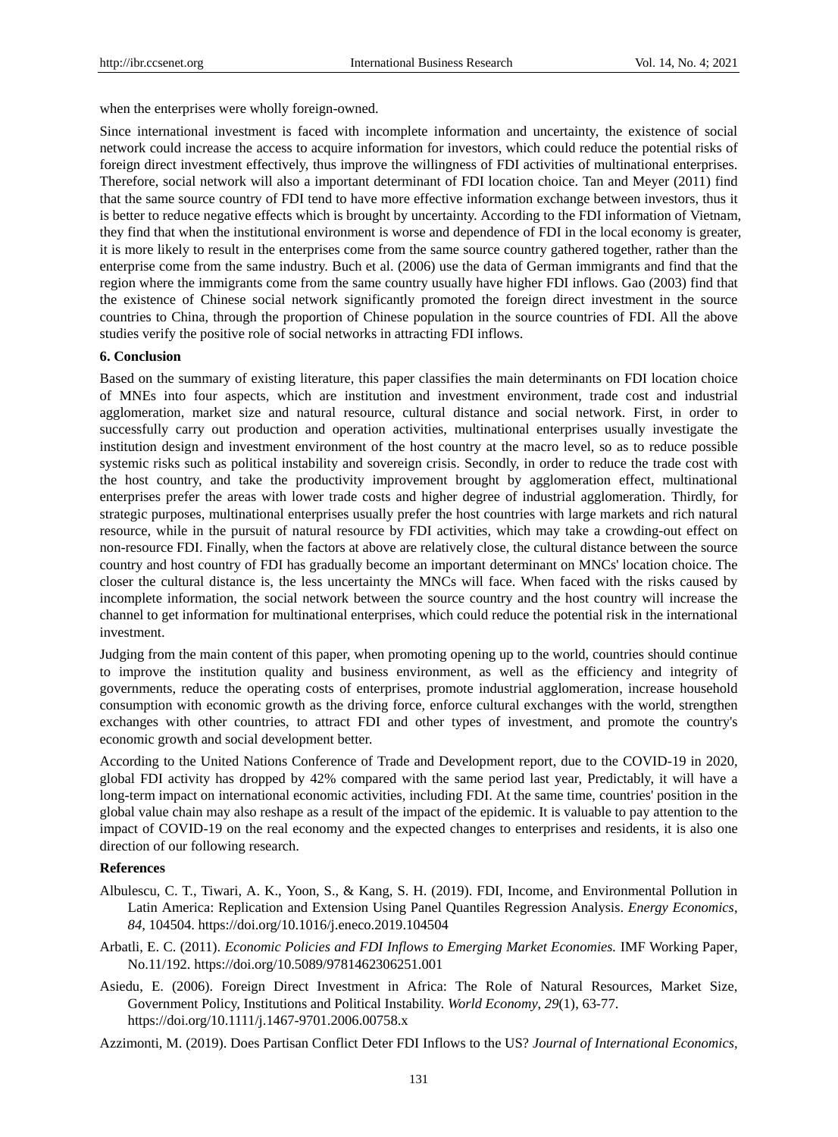when the enterprises were wholly foreign-owned.

Since international investment is faced with incomplete information and uncertainty, the existence of social network could increase the access to acquire information for investors, which could reduce the potential risks of foreign direct investment effectively, thus improve the willingness of FDI activities of multinational enterprises. Therefore, social network will also a important determinant of FDI location choice. Tan and Meyer (2011) find that the same source country of FDI tend to have more effective information exchange between investors, thus it is better to reduce negative effects which is brought by uncertainty. According to the FDI information of Vietnam, they find that when the institutional environment is worse and dependence of FDI in the local economy is greater, it is more likely to result in the enterprises come from the same source country gathered together, rather than the enterprise come from the same industry. Buch et al. (2006) use the data of German immigrants and find that the region where the immigrants come from the same country usually have higher FDI inflows. Gao (2003) find that the existence of Chinese social network significantly promoted the foreign direct investment in the source countries to China, through the proportion of Chinese population in the source countries of FDI. All the above studies verify the positive role of social networks in attracting FDI inflows.

## **6. Conclusion**

Based on the summary of existing literature, this paper classifies the main determinants on FDI location choice of MNEs into four aspects, which are institution and investment environment, trade cost and industrial agglomeration, market size and natural resource, cultural distance and social network. First, in order to successfully carry out production and operation activities, multinational enterprises usually investigate the institution design and investment environment of the host country at the macro level, so as to reduce possible systemic risks such as political instability and sovereign crisis. Secondly, in order to reduce the trade cost with the host country, and take the productivity improvement brought by agglomeration effect, multinational enterprises prefer the areas with lower trade costs and higher degree of industrial agglomeration. Thirdly, for strategic purposes, multinational enterprises usually prefer the host countries with large markets and rich natural resource, while in the pursuit of natural resource by FDI activities, which may take a crowding-out effect on non-resource FDI. Finally, when the factors at above are relatively close, the cultural distance between the source country and host country of FDI has gradually become an important determinant on MNCs' location choice. The closer the cultural distance is, the less uncertainty the MNCs will face. When faced with the risks caused by incomplete information, the social network between the source country and the host country will increase the channel to get information for multinational enterprises, which could reduce the potential risk in the international investment.

Judging from the main content of this paper, when promoting opening up to the world, countries should continue to improve the institution quality and business environment, as well as the efficiency and integrity of governments, reduce the operating costs of enterprises, promote industrial agglomeration, increase household consumption with economic growth as the driving force, enforce cultural exchanges with the world, strengthen exchanges with other countries, to attract FDI and other types of investment, and promote the country's economic growth and social development better.

According to the United Nations Conference of Trade and Development report, due to the COVID-19 in 2020, global FDI activity has dropped by 42% compared with the same period last year, Predictably, it will have a long-term impact on international economic activities, including FDI. At the same time, countries' position in the global value chain may also reshape as a result of the impact of the epidemic. It is valuable to pay attention to the impact of COVID-19 on the real economy and the expected changes to enterprises and residents, it is also one direction of our following research.

#### **References**

- Albulescu, C. T., Tiwari, A. K., Yoon, S., & Kang, S. H. (2019). FDI, Income, and Environmental Pollution in Latin America: Replication and Extension Using Panel Quantiles Regression Analysis. *Energy Economics*, *84,* 104504. https://doi.org/10.1016/j.eneco.2019.104504
- Arbatli, E. C. (2011). *Economic Policies and FDI Inflows to Emerging Market Economies.* IMF Working Paper, No.11/192. https://doi.org/10.5089/9781462306251.001
- Asiedu, E. (2006). Foreign Direct Investment in Africa: The Role of Natural Resources, Market Size, Government Policy, Institutions and Political Instability. *World Economy*, *29*(1), 63-77. https://doi.org/10.1111/j.1467-9701.2006.00758.x

Azzimonti, M. (2019). Does Partisan Conflict Deter FDI Inflows to the US? *Journal of International Economics*,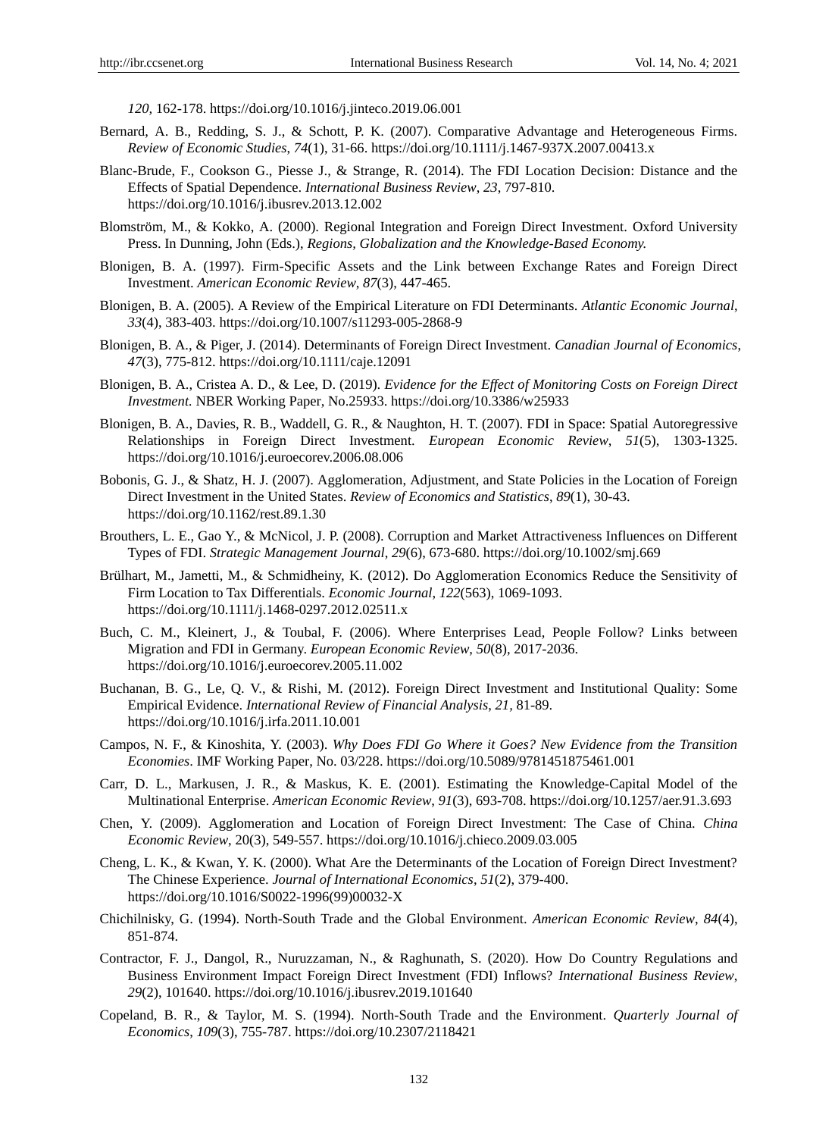*120,* 162-178. https://doi.org/10.1016/j.jinteco.2019.06.001

- Bernard, A. B., Redding, S. J., & Schott, P. K. (2007). Comparative Advantage and Heterogeneous Firms. *Review of Economic Studies*, *74*(1), 31-66. https://doi.org/10.1111/j.1467-937X.2007.00413.x
- Blanc-Brude, F., Cookson G., Piesse J., & Strange, R. (2014). The FDI Location Decision: Distance and the Effects of Spatial Dependence. *International Business Review*, *23*, 797-810. https://doi.org/10.1016/j.ibusrev.2013.12.002
- Blomström, M., & Kokko, A. (2000). Regional Integration and Foreign Direct Investment. Oxford University Press. In Dunning, John (Eds.), *Regions, Globalization and the Knowledge-Based Economy.*
- Blonigen, B. A. (1997). Firm-Specific Assets and the Link between Exchange Rates and Foreign Direct Investment. *American Economic Review*, *87*(3), 447-465.
- Blonigen, B. A. (2005). A Review of the Empirical Literature on FDI Determinants. *Atlantic Economic Journal*, *33*(4), 383-403. https://doi.org/10.1007/s11293-005-2868-9
- Blonigen, B. A., & Piger, J. (2014). Determinants of Foreign Direct Investment. *Canadian Journal of Economics*, *47*(3), 775-812. https://doi.org/10.1111/caje.12091
- Blonigen, B. A., Cristea A. D., & Lee, D. (2019). *Evidence for the Effect of Monitoring Costs on Foreign Direct Investment.* NBER Working Paper, No.25933. https://doi.org/10.3386/w25933
- Blonigen, B. A., Davies, R. B., Waddell, G. R., & Naughton, H. T. (2007). FDI in Space: Spatial Autoregressive Relationships in Foreign Direct Investment. *European Economic Review*, *51*(5), 1303-1325. https://doi.org/10.1016/j.euroecorev.2006.08.006
- Bobonis, G. J., & Shatz, H. J. (2007). Agglomeration, Adjustment, and State Policies in the Location of Foreign Direct Investment in the United States. *Review of Economics and Statistics*, *89*(1), 30-43. https://doi.org/10.1162/rest.89.1.30
- Brouthers, L. E., Gao Y., & McNicol, J. P. (2008). Corruption and Market Attractiveness Influences on Different Types of FDI. *Strategic Management Journal*, *29*(6), 673-680. https://doi.org/10.1002/smj.669
- Brülhart, M., Jametti, M., & Schmidheiny, K. (2012). Do Agglomeration Economics Reduce the Sensitivity of Firm Location to Tax Differentials. *Economic Journal*, *122*(563), 1069-1093. https://doi.org/10.1111/j.1468-0297.2012.02511.x
- Buch, C. M., Kleinert, J., & Toubal, F. (2006). Where Enterprises Lead, People Follow? Links between Migration and FDI in Germany. *European Economic Review*, *50*(8), 2017-2036. https://doi.org/10.1016/j.euroecorev.2005.11.002
- Buchanan, B. G., Le, Q. V., & Rishi, M. (2012). Foreign Direct Investment and Institutional Quality: Some Empirical Evidence. *International Review of Financial Analysis*, *21,* 81-89. https://doi.org/10.1016/j.irfa.2011.10.001
- Campos, N. F., & Kinoshita, Y. (2003). *Why Does FDI Go Where it Goes? New Evidence from the Transition Economies*. IMF Working Paper, No. 03/228. https://doi.org/10.5089/9781451875461.001
- Carr, D. L., Markusen, J. R., & Maskus, K. E. (2001). Estimating the Knowledge-Capital Model of the Multinational Enterprise. *American Economic Review*, *91*(3), 693-708. https://doi.org/10.1257/aer.91.3.693
- Chen, Y. (2009). Agglomeration and Location of Foreign Direct Investment: The Case of China. *China Economic Review*, 20(3), 549-557. https://doi.org/10.1016/j.chieco.2009.03.005
- Cheng, L. K., & Kwan, Y. K. (2000). What Are the Determinants of the Location of Foreign Direct Investment? The Chinese Experience. *Journal of International Economics*, *51*(2), 379-400. https://doi.org/10.1016/S0022-1996(99)00032-X
- Chichilnisky, G. (1994). North-South Trade and the Global Environment. *American Economic Review*, *84*(4), 851-874.
- Contractor, F. J., Dangol, R., Nuruzzaman, N., & Raghunath, S. (2020). How Do Country Regulations and Business Environment Impact Foreign Direct Investment (FDI) Inflows? *International Business Review*, *29*(2), 101640. https://doi.org/10.1016/j.ibusrev.2019.101640
- Copeland, B. R., & Taylor, M. S. (1994). North-South Trade and the Environment. *Quarterly Journal of Economics*, *109*(3), 755-787. https://doi.org/10.2307/2118421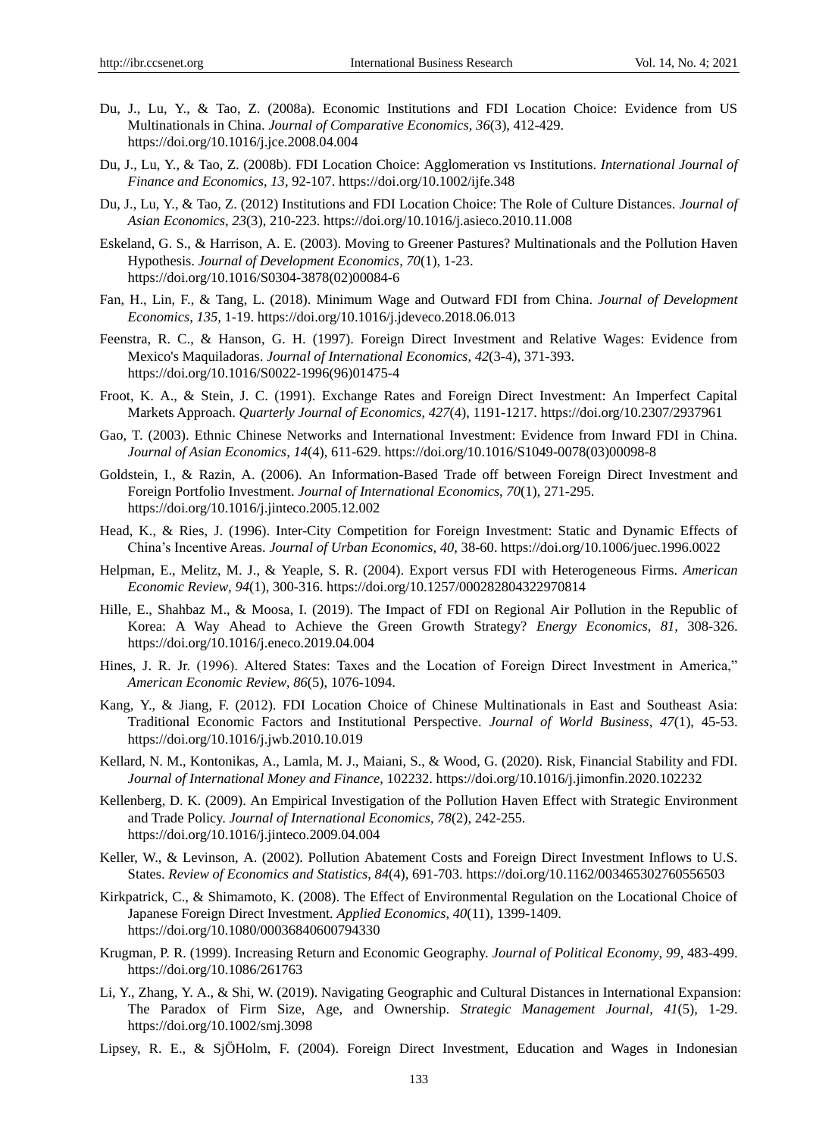- Du, J., Lu, Y., & Tao, Z. (2008a). Economic Institutions and FDI Location Choice: Evidence from US Multinationals in China. *Journal of Comparative Economics*, *36*(3), 412-429. https://doi.org/10.1016/j.jce.2008.04.004
- Du, J., Lu, Y., & Tao, Z. (2008b). FDI Location Choice: Agglomeration vs Institutions. *International Journal of Finance and Economics*, *13,* 92-107. https://doi.org/10.1002/ijfe.348
- Du, J., Lu, Y., & Tao, Z. (2012) Institutions and FDI Location Choice: The Role of Culture Distances. *Journal of Asian Economics*, *23*(3), 210-223. https://doi.org/10.1016/j.asieco.2010.11.008
- Eskeland, G. S., & Harrison, A. E. (2003). Moving to Greener Pastures? Multinationals and the Pollution Haven Hypothesis. *Journal of Development Economics*, *70*(1), 1-23. https://doi.org/10.1016/S0304-3878(02)00084-6
- Fan, H., Lin, F., & Tang, L. (2018). Minimum Wage and Outward FDI from China. *Journal of Development Economics*, *135,* 1-19. https://doi.org/10.1016/j.jdeveco.2018.06.013
- Feenstra, R. C., & Hanson, G. H. (1997). Foreign Direct Investment and Relative Wages: Evidence from Mexico's Maquiladoras. *Journal of International Economics*, *42*(3-4), 371-393. https://doi.org/10.1016/S0022-1996(96)01475-4
- Froot, K. A., & Stein, J. C. (1991). Exchange Rates and Foreign Direct Investment: An Imperfect Capital Markets Approach. *Quarterly Journal of Economics*, *427*(4), 1191-1217. https://doi.org/10.2307/2937961
- Gao, T. (2003). Ethnic Chinese Networks and International Investment: Evidence from Inward FDI in China. *Journal of Asian Economics*, *14*(4), 611-629. https://doi.org/10.1016/S1049-0078(03)00098-8
- Goldstein, I., & Razin, A. (2006). An Information-Based Trade off between Foreign Direct Investment and Foreign Portfolio Investment. *Journal of International Economics*, *70*(1), 271-295. https://doi.org/10.1016/j.jinteco.2005.12.002
- Head, K., & Ries, J. (1996). Inter-City Competition for Foreign Investment: Static and Dynamic Effects of China's Incentive Areas. *Journal of Urban Economics*, *40,* 38-60. https://doi.org/10.1006/juec.1996.0022
- Helpman, E., Melitz, M. J., & Yeaple, S. R. (2004). Export versus FDI with Heterogeneous Firms. *American Economic Review*, *94*(1), 300-316. https://doi.org/10.1257/000282804322970814
- Hille, E., Shahbaz M., & Moosa, I. (2019). The Impact of FDI on Regional Air Pollution in the Republic of Korea: A Way Ahead to Achieve the Green Growth Strategy? *Energy Economics*, *81,* 308-326. https://doi.org/10.1016/j.eneco.2019.04.004
- Hines, J. R. Jr. (1996). Altered States: Taxes and the Location of Foreign Direct Investment in America," *American Economic Review*, *86*(5), 1076-1094.
- Kang, Y., & Jiang, F. (2012). FDI Location Choice of Chinese Multinationals in East and Southeast Asia: Traditional Economic Factors and Institutional Perspective. *Journal of World Business*, *47*(1), 45-53. https://doi.org/10.1016/j.jwb.2010.10.019
- Kellard, N. M., Kontonikas, A., Lamla, M. J., Maiani, S., & Wood, G. (2020). Risk, Financial Stability and FDI. *Journal of International Money and Finance*, 102232. https://doi.org/10.1016/j.jimonfin.2020.102232
- Kellenberg, D. K. (2009). An Empirical Investigation of the Pollution Haven Effect with Strategic Environment and Trade Policy. *Journal of International Economics*, *78*(2), 242-255. https://doi.org/10.1016/j.jinteco.2009.04.004
- Keller, W., & Levinson, A. (2002). Pollution Abatement Costs and Foreign Direct Investment Inflows to U.S. States. *Review of Economics and Statistics*, *84*(4), 691-703. https://doi.org/10.1162/003465302760556503
- Kirkpatrick, C., & Shimamoto, K. (2008). The Effect of Environmental Regulation on the Locational Choice of Japanese Foreign Direct Investment. *Applied Economics, 40*(11), 1399-1409. https://doi.org/10.1080/00036840600794330
- Krugman, P. R. (1999). Increasing Return and Economic Geography. *Journal of Political Economy*, *99,* 483-499. https://doi.org/10.1086/261763
- Li, Y., Zhang, Y. A., & Shi, W. (2019). Navigating Geographic and Cultural Distances in International Expansion: The Paradox of Firm Size, Age, and Ownership. *Strategic Management Journal*, *41*(5), 1-29. https://doi.org/10.1002/smj.3098
- Lipsey, R. E., & SjÖHolm, F. (2004). Foreign Direct Investment, Education and Wages in Indonesian